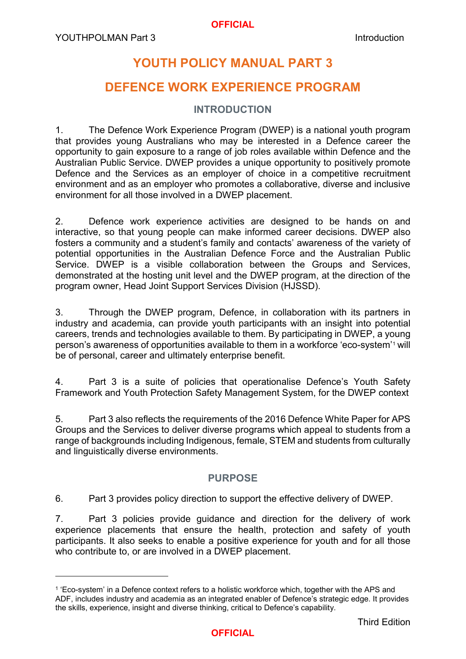$\overline{a}$ 

# **YOUTH POLICY MANUAL PART 3**

## **DEFENCE WORK EXPERIENCE PROGRAM**

#### **INTRODUCTION**

1. The Defence Work Experience Program (DWEP) is a national youth program that provides young Australians who may be interested in a Defence career the opportunity to gain exposure to a range of job roles available within Defence and the Australian Public Service. DWEP provides a unique opportunity to positively promote Defence and the Services as an employer of choice in a competitive recruitment environment and as an employer who promotes a collaborative, diverse and inclusive environment for all those involved in a DWEP placement.

2. Defence work experience activities are designed to be hands on and interactive, so that young people can make informed career decisions. DWEP also fosters a community and a student's family and contacts' awareness of the variety of potential opportunities in the Australian Defence Force and the Australian Public Service. DWEP is a visible collaboration between the Groups and Services, demonstrated at the hosting unit level and the DWEP program, at the direction of the program owner, Head Joint Support Services Division (HJSSD).

3. Through the DWEP program, Defence, in collaboration with its partners in industry and academia, can provide youth participants with an insight into potential careers, trends and technologies available to them. By participating in DWEP, a young person's awareness of opportunities available to them in a workforce 'eco-system'[1](#page-0-0) will be of personal, career and ultimately enterprise benefit.

4. Part 3 is a suite of policies that operationalise Defence's Youth Safety Framework and Youth Protection Safety Management System, for the DWEP context

5. Part 3 also reflects the requirements of the 2016 Defence White Paper for APS Groups and the Services to deliver diverse programs which appeal to students from a range of backgrounds including Indigenous, female, STEM and students from culturally and linguistically diverse environments.

#### **PURPOSE**

6. Part 3 provides policy direction to support the effective delivery of DWEP.

7. Part 3 policies provide guidance and direction for the delivery of work experience placements that ensure the health, protection and safety of youth participants. It also seeks to enable a positive experience for youth and for all those who contribute to, or are involved in a DWEP placement.

### **OFFICIAL**

<span id="page-0-0"></span><sup>1</sup> 'Eco-system' in a Defence context refers to a holistic workforce which, together with the APS and ADF, includes industry and academia as an integrated enabler of Defence's strategic edge. It provides the skills, experience, insight and diverse thinking, critical to Defence's capability.